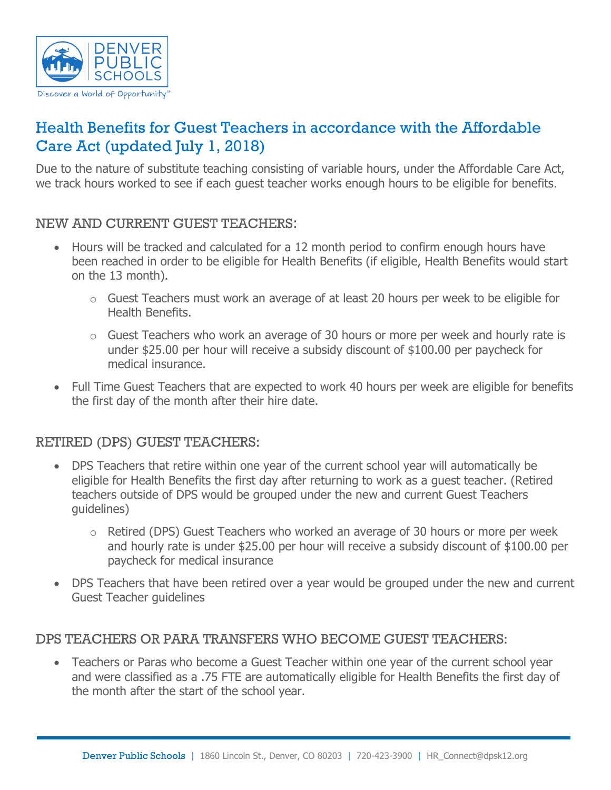

# Health Benefits for Guest Teachers in accordance with the Affordable Care Act (updated July 1, 2018)

Due to the nature of substitute teaching consisting of variable hours, under the Affordable Care Act, we track hours worked to see if each guest teacher works enough hours to be eligible for benefits.

## NEW AND CURRENT GUEST TEACHERS:

- Hours will be tracked and calculated for a 12 month period to confirm enough hours have been reached in order to be eligible for Health Benefits (if eligible, Health Benefits would start on the 13 month).
	- o Guest Teachers must work an average of at least 20 hours per week to be eligible for Health Benefits.
	- o Guest Teachers who work an average of 30 hours or more per week and hourly rate is under \$25.00 per hour will receive a subsidy discount of \$100.00 per paycheck for medical insurance.
- Full Time Guest Teachers that are expected to work 40 hours per week are eligible for benefits the first day of the month after their hire date.

#### RETIRED (DPS) GUEST TEACHERS:

- DPS Teachers that retire within one year of the current school year will automatically be eligible for Health Benefits the first day after returning to work as a guest teacher. (Retired teachers outside of DPS would be grouped under the new and current Guest Teachers guidelines)
	- $\circ$  Retired (DPS) Guest Teachers who worked an average of 30 hours or more per week and hourly rate is under \$25.00 per hour will receive a subsidy discount of \$100.00 per paycheck for medical insurance
- DPS Teachers that have been retired over a year would be grouped under the new and current Guest Teacher guidelines

#### DPS TEACHERS OR PARA TRANSFERS WHO BECOME GUEST TEACHERS:

• Teachers or Paras who become a Guest Teacher within one year of the current school year and were classified as a .75 FTE are automatically eligible for Health Benefits the first day of the month after the start of the school year.